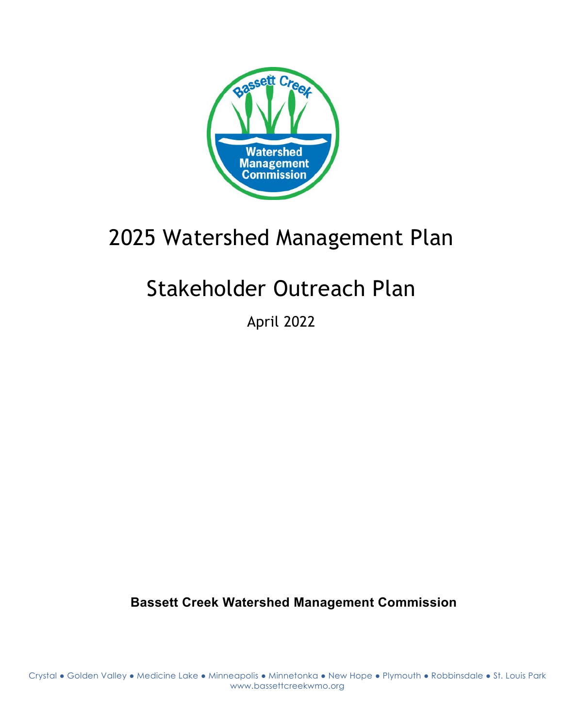

## 2025 Watershed Management Plan

# Stakeholder Outreach Plan

April 2022

**Bassett Creek Watershed Management Commission**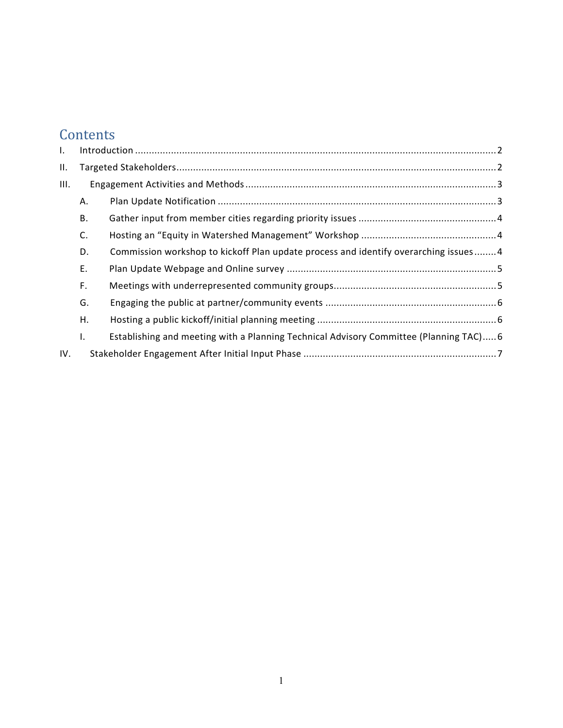## **Contents**

| Ι.  |    |                                                                                        |  |
|-----|----|----------------------------------------------------------------------------------------|--|
| Ш.  |    |                                                                                        |  |
| Ш.  |    |                                                                                        |  |
|     | А. |                                                                                        |  |
|     | В. |                                                                                        |  |
|     | C. |                                                                                        |  |
|     | D. | Commission workshop to kickoff Plan update process and identify overarching issues4    |  |
|     | Ε. |                                                                                        |  |
|     | F. |                                                                                        |  |
|     | G. |                                                                                        |  |
|     | Η. |                                                                                        |  |
|     | I. | Establishing and meeting with a Planning Technical Advisory Committee (Planning TAC) 6 |  |
| IV. |    |                                                                                        |  |
|     |    |                                                                                        |  |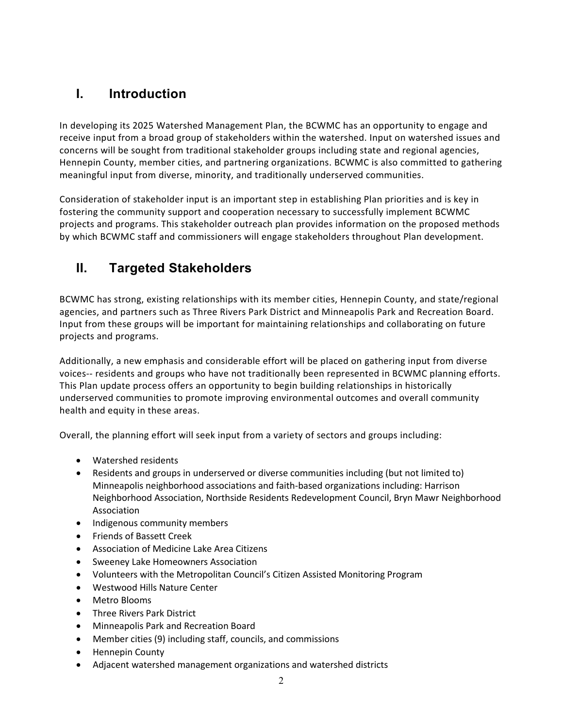## <span id="page-2-0"></span>**I. Introduction**

In developing its 2025 Watershed Management Plan, the BCWMC has an opportunity to engage and receive input from a broad group of stakeholders within the watershed. Input on watershed issues and concerns will be sought from traditional stakeholder groups including state and regional agencies, Hennepin County, member cities, and partnering organizations. BCWMC is also committed to gathering meaningful input from diverse, minority, and traditionally underserved communities.

Consideration of stakeholder input is an important step in establishing Plan priorities and is key in fostering the community support and cooperation necessary to successfully implement BCWMC projects and programs. This stakeholder outreach plan provides information on the proposed methods by which BCWMC staff and commissioners will engage stakeholders throughout Plan development.

## <span id="page-2-1"></span>**II. Targeted Stakeholders**

BCWMC has strong, existing relationships with its member cities, Hennepin County, and state/regional agencies, and partners such as Three Rivers Park District and Minneapolis Park and Recreation Board. Input from these groups will be important for maintaining relationships and collaborating on future projects and programs.

Additionally, a new emphasis and considerable effort will be placed on gathering input from diverse voices-- residents and groups who have not traditionally been represented in BCWMC planning efforts. This Plan update process offers an opportunity to begin building relationships in historically underserved communities to promote improving environmental outcomes and overall community health and equity in these areas.

Overall, the planning effort will seek input from a variety of sectors and groups including:

- Watershed residents
- Residents and groups in underserved or diverse communities including (but not limited to) Minneapolis neighborhood associations and faith-based organizations including: Harrison Neighborhood Association, Northside Residents Redevelopment Council, Bryn Mawr Neighborhood Association
- Indigenous community members
- Friends of Bassett Creek
- Association of Medicine Lake Area Citizens
- Sweeney Lake Homeowners Association
- Volunteers with the Metropolitan Council's Citizen Assisted Monitoring Program
- Westwood Hills Nature Center
- Metro Blooms
- Three Rivers Park District
- Minneapolis Park and Recreation Board
- Member cities (9) including staff, councils, and commissions
- Hennepin County
- Adjacent watershed management organizations and watershed districts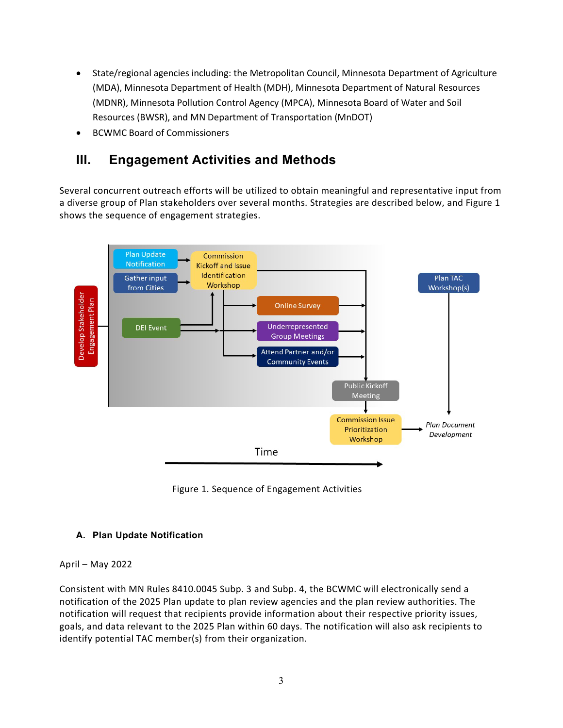- State/regional agencies including: the Metropolitan Council, Minnesota Department of Agriculture (MDA), Minnesota Department of Health (MDH), Minnesota Department of Natural Resources (MDNR), Minnesota Pollution Control Agency (MPCA), Minnesota Board of Water and Soil Resources (BWSR), and MN Department of Transportation (MnDOT)
- BCWMC Board of Commissioners

### <span id="page-3-0"></span>**III. Engagement Activities and Methods**

Several concurrent outreach efforts will be utilized to obtain meaningful and representative input from a diverse group of Plan stakeholders over several months. Strategies are described below, and Figure 1 shows the sequence of engagement strategies.



Figure 1. Sequence of Engagement Activities

#### <span id="page-3-1"></span>**A. Plan Update Notification**

#### April – May 2022

Consistent with MN Rules 8410.0045 Subp. 3 and Subp. 4, the BCWMC will electronically send a notification of the 2025 Plan update to plan review agencies and the plan review authorities. The notification will request that recipients provide information about their respective priority issues, goals, and data relevant to the 2025 Plan within 60 days. The notification will also ask recipients to identify potential TAC member(s) from their organization.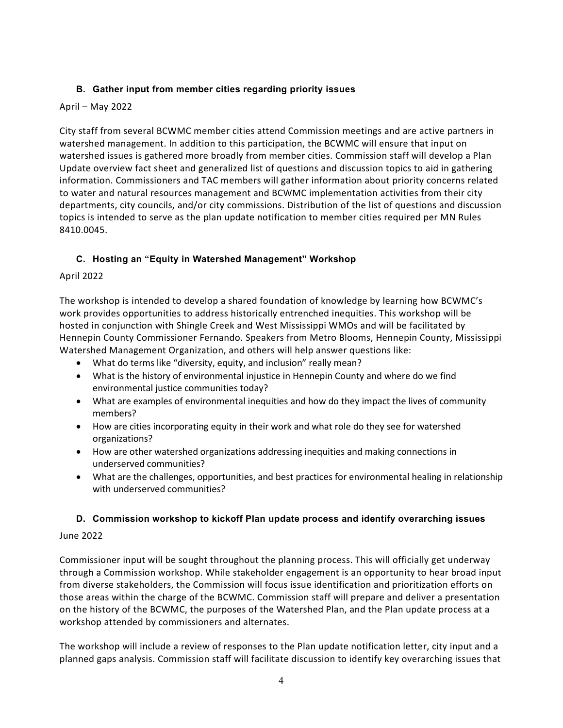#### <span id="page-4-0"></span>**B. Gather input from member cities regarding priority issues**

#### April – May 2022

City staff from several BCWMC member cities attend Commission meetings and are active partners in watershed management. In addition to this participation, the BCWMC will ensure that input on watershed issues is gathered more broadly from member cities. Commission staff will develop a Plan Update overview fact sheet and generalized list of questions and discussion topics to aid in gathering information. Commissioners and TAC members will gather information about priority concerns related to water and natural resources management and BCWMC implementation activities from their city departments, city councils, and/or city commissions. Distribution of the list of questions and discussion topics is intended to serve as the plan update notification to member cities required per MN Rules 8410.0045.

#### <span id="page-4-1"></span>**C. Hosting an "Equity in Watershed Management" Workshop**

#### April 2022

The workshop is intended to develop a shared foundation of knowledge by learning how BCWMC's work provides opportunities to address historically entrenched inequities. This workshop will be hosted in conjunction with Shingle Creek and West Mississippi WMOs and will be facilitated by Hennepin County Commissioner Fernando. Speakers from Metro Blooms, Hennepin County, Mississippi Watershed Management Organization, and others will help answer questions like:

- What do terms like "diversity, equity, and inclusion" really mean?
- What is the history of environmental injustice in Hennepin County and where do we find environmental justice communities today?
- What are examples of environmental inequities and how do they impact the lives of community members?
- How are cities incorporating equity in their work and what role do they see for watershed organizations?
- How are other watershed organizations addressing inequities and making connections in underserved communities?
- What are the challenges, opportunities, and best practices for environmental healing in relationship with underserved communities?

#### <span id="page-4-2"></span>**D. Commission workshop to kickoff Plan update process and identify overarching issues**

#### June 2022

Commissioner input will be sought throughout the planning process. This will officially get underway through a Commission workshop. While stakeholder engagement is an opportunity to hear broad input from diverse stakeholders, the Commission will focus issue identification and prioritization efforts on those areas within the charge of the BCWMC. Commission staff will prepare and deliver a presentation on the history of the BCWMC, the purposes of the Watershed Plan, and the Plan update process at a workshop attended by commissioners and alternates.

The workshop will include a review of responses to the Plan update notification letter, city input and a planned gaps analysis. Commission staff will facilitate discussion to identify key overarching issues that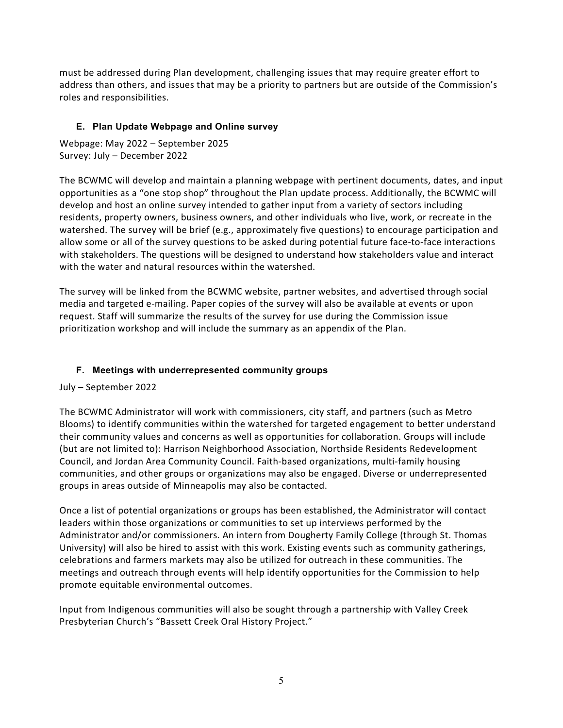must be addressed during Plan development, challenging issues that may require greater effort to address than others, and issues that may be a priority to partners but are outside of the Commission's roles and responsibilities.

#### <span id="page-5-0"></span>**E. Plan Update Webpage and Online survey**

Webpage: May 2022 – September 2025 Survey: July – December 2022

The BCWMC will develop and maintain a planning webpage with pertinent documents, dates, and input opportunities as a "one stop shop" throughout the Plan update process. Additionally, the BCWMC will develop and host an online survey intended to gather input from a variety of sectors including residents, property owners, business owners, and other individuals who live, work, or recreate in the watershed. The survey will be brief (e.g., approximately five questions) to encourage participation and allow some or all of the survey questions to be asked during potential future face-to-face interactions with stakeholders. The questions will be designed to understand how stakeholders value and interact with the water and natural resources within the watershed.

The survey will be linked from the BCWMC website, partner websites, and advertised through social media and targeted e-mailing. Paper copies of the survey will also be available at events or upon request. Staff will summarize the results of the survey for use during the Commission issue prioritization workshop and will include the summary as an appendix of the Plan.

#### <span id="page-5-1"></span>**F. Meetings with underrepresented community groups**

July – September 2022

The BCWMC Administrator will work with commissioners, city staff, and partners (such as Metro Blooms) to identify communities within the watershed for targeted engagement to better understand their community values and concerns as well as opportunities for collaboration. Groups will include (but are not limited to): Harrison Neighborhood Association, Northside Residents Redevelopment Council, and Jordan Area Community Council. Faith-based organizations, multi-family housing communities, and other groups or organizations may also be engaged. Diverse or underrepresented groups in areas outside of Minneapolis may also be contacted.

Once a list of potential organizations or groups has been established, the Administrator will contact leaders within those organizations or communities to set up interviews performed by the Administrator and/or commissioners. An intern from Dougherty Family College (through St. Thomas University) will also be hired to assist with this work. Existing events such as community gatherings, celebrations and farmers markets may also be utilized for outreach in these communities. The meetings and outreach through events will help identify opportunities for the Commission to help promote equitable environmental outcomes.

Input from Indigenous communities will also be sought through a partnership with Valley Creek Presbyterian Church's "Bassett Creek Oral History Project."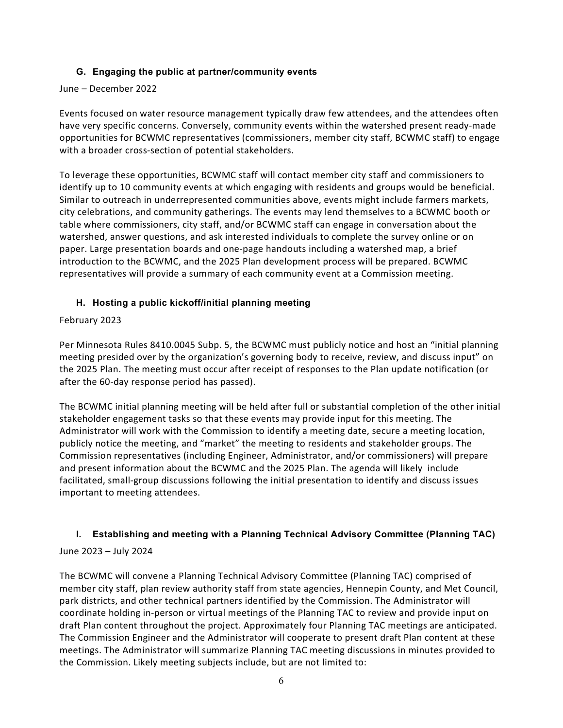#### **G. Engaging the public at partner/community events**

#### <span id="page-6-0"></span>June – December 2022

Events focused on water resource management typically draw few attendees, and the attendees often have very specific concerns. Conversely, community events within the watershed present ready-made opportunities for BCWMC representatives (commissioners, member city staff, BCWMC staff) to engage with a broader cross-section of potential stakeholders.

To leverage these opportunities, BCWMC staff will contact member city staff and commissioners to identify up to 10 community events at which engaging with residents and groups would be beneficial. Similar to outreach in underrepresented communities above, events might include farmers markets, city celebrations, and community gatherings. The events may lend themselves to a BCWMC booth or table where commissioners, city staff, and/or BCWMC staff can engage in conversation about the watershed, answer questions, and ask interested individuals to complete the survey online or on paper. Large presentation boards and one-page handouts including a watershed map, a brief introduction to the BCWMC, and the 2025 Plan development process will be prepared. BCWMC representatives will provide a summary of each community event at a Commission meeting.

#### <span id="page-6-1"></span>**H. Hosting a public kickoff/initial planning meeting**

#### February 2023

Per Minnesota Rules 8410.0045 Subp. 5, the BCWMC must publicly notice and host an "initial planning meeting presided over by the organization's governing body to receive, review, and discuss input" on the 2025 Plan. The meeting must occur after receipt of responses to the Plan update notification (or after the 60-day response period has passed).

The BCWMC initial planning meeting will be held after full or substantial completion of the other initial stakeholder engagement tasks so that these events may provide input for this meeting. The Administrator will work with the Commission to identify a meeting date, secure a meeting location, publicly notice the meeting, and "market" the meeting to residents and stakeholder groups. The Commission representatives (including Engineer, Administrator, and/or commissioners) will prepare and present information about the BCWMC and the 2025 Plan. The agenda will likely include facilitated, small-group discussions following the initial presentation to identify and discuss issues important to meeting attendees.

#### <span id="page-6-2"></span>**I. Establishing and meeting with a Planning Technical Advisory Committee (Planning TAC)**

#### June 2023 – July 2024

The BCWMC will convene a Planning Technical Advisory Committee (Planning TAC) comprised of member city staff, plan review authority staff from state agencies, Hennepin County, and Met Council, park districts, and other technical partners identified by the Commission. The Administrator will coordinate holding in-person or virtual meetings of the Planning TAC to review and provide input on draft Plan content throughout the project. Approximately four Planning TAC meetings are anticipated. The Commission Engineer and the Administrator will cooperate to present draft Plan content at these meetings. The Administrator will summarize Planning TAC meeting discussions in minutes provided to the Commission. Likely meeting subjects include, but are not limited to: